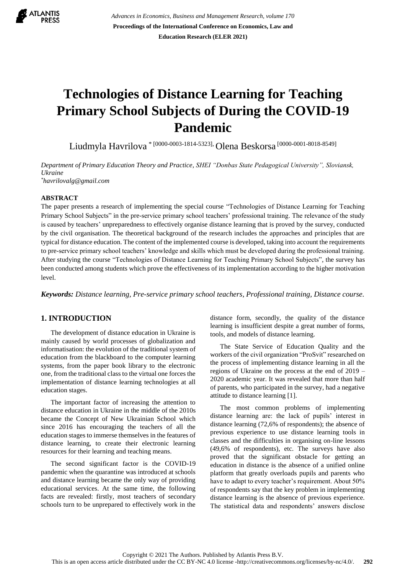

*Advances in Economics, Business and Management Research, volume 170* **Proceedings of the International Conference on Economics, Law and Education Research (ELER 2021)**

# **Technologies of Distance Learning for Teaching Primary School Subjects of During the COVID-19 Pandemic**

Liudmyla Havrilova \* [0000-0003-1814-5323], Olena Beskorsa [0000-0001-8018-8549]

*Department of Primary Education Theory and Practice, SHEI "Donbas State Pedagogical University", Sloviansk, Ukraine \*[havriloval](mailto:havrilova)g@gmail.com*

#### **ABSTRACT**

The paper presents a research of implementing the special course "Technologies of Distance Learning for Teaching Primary School Subjects" in the pre-service primary school teachers' professional training. The relevance of the study is caused by teachers' unpreparedness to effectively organise distance learning that is proved by the survey, conducted by the civil organisation. The theoretical background of the research includes the approaches and principles that are typical for distance education. The content of the implemented course is developed, taking into account the requirements to pre-service primary school teachers' knowledge and skills which must be developed during the professional training. After studying the course "Technologies of Distance Learning for Teaching Primary School Subjects", the survey has been conducted among students which prove the effectiveness of its implementation according to the higher motivation level.

*Keywords: Distance learning, Pre-service primary school teachers, Professional training, Distance course.*

## **1. INTRODUCTION**

The development of distance education in Ukraine is mainly caused by world processes of globalization and informatisation: the evolution of the traditional system of education from the blackboard to the computer learning systems, from the paper book library to the electronic one, from the traditional class to the virtual one forces the implementation of distance learning technologies at all education stages.

The important factor of increasing the attention to distance education in Ukraine in the middle of the 2010s became the Concept of New Ukrainian School which since 2016 has encouraging the teachers of all the education stages to immerse themselves in the features of distance learning, to create their electronic learning resources for their learning and teaching means.

The second significant factor is the COVID-19 pandemic when the quarantine was introduced at schools and distance learning became the only way of providing educational services. At the same time, the following facts are revealed: firstly, most teachers of secondary schools turn to be unprepared to effectively work in the distance form, secondly, the quality of the distance learning is insufficient despite a great number of forms, tools, and models of distance learning.

The State Service of Education Quality and the workers of the civil organization "ProSvit" researched on the process of implementing distance learning in all the regions of Ukraine on the process at the end of 2019 – 2020 academic year. It was revealed that more than half of parents, who participated in the survey, had a negative attitude to distance learning [\[1\].](#page-5-0)

The most common problems of implementing distance learning are: the lack of pupils' interest in distance learning (72,6% of respondents); the absence of previous experience to use distance learning tools in classes and the difficulties in organising on-line lessons (49,6% of respondents), etc. The surveys have also proved that the significant obstacle for getting an education in distance is the absence of a unified online platform that greatly overloads pupils and parents who have to adapt to every teacher's requirement. About 50% of respondents say that the key problem in implementing distance learning is the absence of previous experience. The statistical data and respondents' answers disclose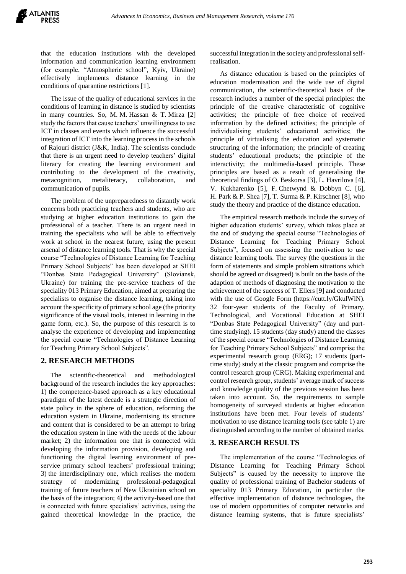that the education institutions with the developed information and communication learning environment (for example, "Atmospheric school", Kyiv, Ukraine) effectively implements distance learning in the conditions of quarantine restrictions [1].

The issue of the quality of educational services in the conditions of learning in distance is studied by scientists in many countries. So, M. M. Hassan & T. Mirza [2] study the factors that cause teachers' unwillingness to use ICT in classes and events which influence the successful integration of ICT into the learning process in the schools of Rajouri district (J&K, India). The scientists conclude that there is an urgent need to develop teachers' digital literacy for creating the learning environment and contributing to the development of the creativity, metacognition, metaliteracy, collaboration, and communication of pupils.

The problem of the unpreparedness to distantly work concerns both practicing teachers and students, who are studying at higher education institutions to gain the professional of a teacher. There is an urgent need in training the specialists who will be able to effectively work at school in the nearest future, using the present arsenal of distance learning tools. That is why the special course "Technologies of Distance Learning for Teaching Primary School Subjects" has been developed at SHEI "Donbas State Pedagogical University" (Sloviansk, Ukraine) for training the pre-service teachers of the speciality 013 Primary Education, aimed at preparing the specialists to organise the distance learning, taking into account the specificity of primary school age (the priority significance of the visual tools, interest in learning in the game form, etc.). So, the purpose of this research is to analyse the experience of developing and implementing the special course "Technologies of Distance Learning for Teaching Primary School Subjects".

#### **2. RESEARCH METHODS**

The scientific-theoretical and methodological background of the research includes the key approaches: 1) the competence-based approach as a key educational paradigm of the latest decade is a strategic direction of state policy in the sphere of education, reforming the education system in Ukraine, modernising its structure and content that is considered to be an attempt to bring the education system in line with the needs of the labour market; 2) the information one that is connected with developing the information provision, developing and functioning the digital learning environment of preservice primary school teachers' professional training; 3) the interdisciplinary one, which realises the modern strategy of modernizing professional-pedagogical training of future teachers of New Ukrainian school on the basis of the integration; 4) the activity-based one that is connected with future specialists' activities, using the gained theoretical knowledge in the practice, the successful integration in the society and professional selfrealisation.

As distance education is based on the principles of education modernisation and the wide use of digital communication, the scientific-theoretical basis of the research includes a number of the special principles: the principle of the creative characteristic of cognitive activities; the principle of free choice of received information by the defined activities; the principle of individualising students' educational activities; the principle of virtualising the education and systematic structuring of the information; the principle of creating students' educational products; the principle of the interactivity; the multimedia-based principle. These principles are based as a result of generalising the theoretical findings of O. Beskorsa [3], L. Havrilova [4], V. Kukharenko [5], F. Chetwynd & Dobbyn C. [6], H. Park & P. Shea [7], T. Surma & P. Kirschner [8], who study the theory and practice of the distance education.

The empirical research methods include the survey of higher education students' survey, which takes place at the end of studying the special course "Technologies of Distance Learning for Teaching Primary School Subjects", focused on assessing the motivation to use distance learning tools. The survey (the questions in the form of statements and simple problem situations which should be agreed or disagreed) is built on the basis of the adaption of methods of diagnosing the motivation to the achievement of the success of T. Ellers [9] and conducted with the use of Google Form (https://cutt.ly/GkulWlN). 32 four-year students of the Faculty of Primary, Technological, and Vocational Education at SHEI "Donbas State Pedagogical University" (day and parttime studying). 15 students (day study) attend the classes of the special course "Technologies of Distance Learning for Teaching Primary School Subjects" and comprise the experimental research group (ERG); 17 students (parttime study) study at the classic program and comprise the control research group (CRG). Making experimental and control research group, students' average mark of success and knowledge quality of the previous session has been taken into account. So, the requirements to sample homogeneity of surveyed students at higher education institutions have been met. Four levels of students' motivation to use distance learning tools (see table 1) are distinguished according to the number of obtained marks.

#### **3. RESEARCH RESULTS**

The implementation of the course "Technologies of Distance Learning for Teaching Primary School Subjects" is caused by the necessity to improve the quality of professional training of Bachelor students of speciality 013 Primary Education, in particular the effective implementation of distance technologies, the use of modern opportunities of computer networks and distance learning systems, that is future specialists'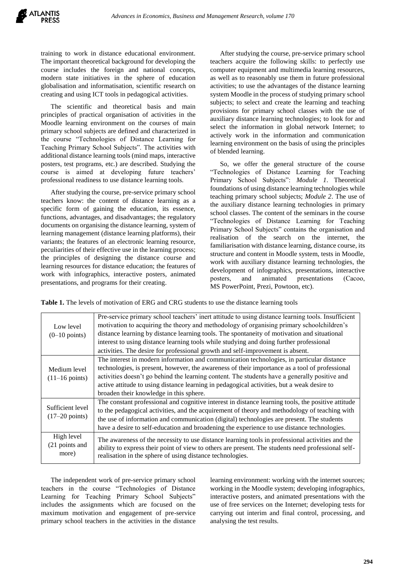training to work in distance educational environment. The important theoretical background for developing the course includes the foreign and national concepts, modern state initiatives in the sphere of education globalisation and informatisation, scientific research on creating and using ICT tools in pedagogical activities.

The scientific and theoretical basis and main principles of practical organisation of activities in the Moodle learning environment on the courses of main primary school subjects are defined and characterized in the course "Technologies of Distance Learning for Teaching Primary School Subjects". The activities with additional distance learning tools (mind maps, interactive posters, test programs, etc.) are described. Studying the course is aimed at developing future teachers' professional readiness to use distance learning tools.

After studying the course, pre-service primary school teachers know: the content of distance learning as a specific form of gaining the education, its essence, functions, advantages, and disadvantages; the regulatory documents on organising the distance learning, system of learning management (distance learning platforms), their variants; the features of an electronic learning resource, peculiarities of their effective use in the learning process; the principles of designing the distance course and learning resources for distance education; the features of work with infographics, interactive posters, animated presentations, and programs for their creating.

After studying the course, pre-service primary school teachers acquire the following skills: to perfectly use computer equipment and multimedia learning resources, as well as to reasonably use them in future professional activities; to use the advantages of the distance learning system Moodle in the process of studying primary school subjects; to select and create the learning and teaching provisions for primary school classes with the use of auxiliary distance learning technologies; to look for and select the information in global network Internet; to actively work in the information and communication learning environment on the basis of using the principles of blended learning.

So, we offer the general structure of the course "Technologies of Distance Learning for Teaching Primary School Subjects": *Module 1*. Theoretical foundations of using distance learning technologies while teaching primary school subjects; *Module 2*. The use of the auxiliary distance learning technologies in primary school classes. The content of the seminars in the course "Technologies of Distance Learning for Teaching Primary School Subjects" contains the organisation and realisation of the search on the internet, the familiarisation with distance learning, distance course, its structure and content in Moodle system, tests in Moodle, work with auxiliary distance learning technologies, the development of infographics, presentations, interactive posters, and animated presentations (Сасоо, MS PowerPoint, Prezi, Powtoon, etc).

**Table 1.** The levels of motivation of ERG and CRG students to use the distance learning tools

| Low level<br>$(0-10 \text{ points})$         | Pre-service primary school teachers' inert attitude to using distance learning tools. Insufficient<br>motivation to acquiring the theory and methodology of organising primary schoolchildren's<br>distance learning by distance learning tools. The spontaneity of motivation and situational<br>interest to using distance learning tools while studying and doing further professional<br>activities. The desire for professional growth and self-improvement is absent. |  |  |  |
|----------------------------------------------|-----------------------------------------------------------------------------------------------------------------------------------------------------------------------------------------------------------------------------------------------------------------------------------------------------------------------------------------------------------------------------------------------------------------------------------------------------------------------------|--|--|--|
| Medium level<br>$(11-16 \text{ points})$     | The interest in modern information and communication technologies, in particular distance<br>technologies, is present, however, the awareness of their importance as a tool of professional<br>activities doesn't go behind the learning content. The students have a generally positive and<br>active attitude to using distance learning in pedagogical activities, but a weak desire to<br>broaden their knowledge in this sphere.                                       |  |  |  |
| Sufficient level<br>$(17-20 \text{ points})$ | The constant professional and cognitive interest in distance learning tools, the positive attitude<br>to the pedagogical activities, and the acquirement of theory and methodology of teaching with<br>the use of information and communication (digital) technologies are present. The students<br>have a desire to self-education and broadening the experience to use distance technologies.                                                                             |  |  |  |
| High level<br>(21 points and<br>more)        | The awareness of the necessity to use distance learning tools in professional activities and the<br>ability to express their point of view to others are present. The students need professional self-<br>realisation in the sphere of using distance technologies.                                                                                                                                                                                                         |  |  |  |

The independent work of pre-service primary school teachers in the course "Technologies of Distance Learning for Teaching Primary School Subjects" includes the assignments which are focused on the maximum motivation and engagement of pre-service primary school teachers in the activities in the distance learning environment: working with the internet sources; working in the Moodle system; developing infographics, interactive posters, and animated presentations with the use of free services on the Internet; developing tests for carrying out interim and final control, processing, and analysing the test results.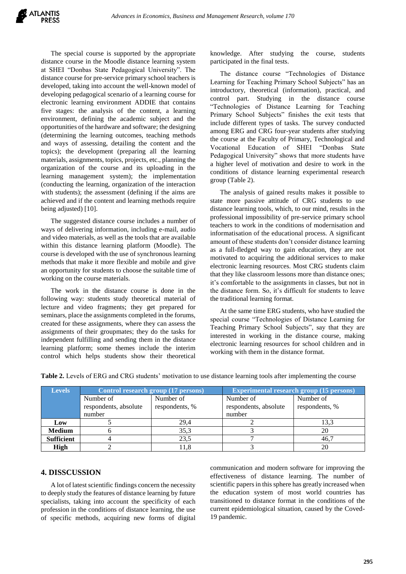The special course is supported by the appropriate distance course in the Moodle distance learning system at SHEI "Donbas State Pedagogical University". The distance course for pre-service primary school teachers is developed, taking into account the well-known model of developing pedagogical scenario of a learning course for electronic learning environment ADDIE that contains five stages: the analysis of the content, a learning environment, defining the academic subject and the opportunities of the hardware and software; the designing (determining the learning outcomes, teaching methods and ways of assessing, detailing the content and the topics); the development (preparing all the learning materials, assignments, topics, projects, etc., planning the organization of the course and its uploading in the learning management system); the implementation (conducting the learning, organization of the interaction with students); the assessment (defining if the aims are achieved and if the content and learning methods require being adjusted) [10].

The suggested distance course includes a number of ways of delivering information, including e-mail, audio and video materials, as well as the tools that are available within this distance learning platform (Moodle). The course is developed with the use of synchronous learning methods that make it more flexible and mobile and give an opportunity for students to choose the suitable time of working on the course materials.

The work in the distance course is done in the following way: students study theoretical material of lecture and video fragments; they get prepared for seminars, place the assignments completed in the forums, created for these assignments, where they can assess the assignments of their groupmates; they do the tasks for independent fulfilling and sending them in the distance learning platform; some themes include the interim control which helps students show their theoretical knowledge. After studying the course, students participated in the final tests.

The distance course "Technologies of Distance Learning for Teaching Primary School Subjects" has an introductory, theoretical (information), practical, and control part. Studying in the distance course "Technologies of Distance Learning for Teaching Primary School Subjects" finishes the exit tests that include different types of tasks. The survey conducted among ERG and CRG four-year students after studying the course at the Faculty of Primary, Technological and Vocational Education of SHEI "Donbas State Pedagogical University" shows that more students have a higher level of motivation and desire to work in the conditions of distance learning experimental research group (Table 2).

The analysis of gained results makes it possible to state more passive attitude of CRG students to use distance learning tools, which, to our mind, results in the professional impossibility of pre-service primary school teachers to work in the conditions of modernisation and informatisation of the educational process. A significant amount of these students don't consider distance learning as a full-fledged way to gain education, they are not motivated to acquiring the additional services to make electronic learning resources. Most CRG students claim that they like classroom lessons more than distance ones; it's comfortable to the assignments in classes, but not in the distance form. So, it's difficult for students to leave the traditional learning format.

At the same time ERG students, who have studied the special course "Technologies of Distance Learning for Teaching Primary School Subjects", say that they are interested in working in the distance course, making electronic learning resources for school children and in working with them in the distance format.

| <b>Levels</b>     |                       | Control research group (17 persons) | <b>Experimental research group (15 persons)</b> |                |
|-------------------|-----------------------|-------------------------------------|-------------------------------------------------|----------------|
|                   | Number of             | Number of                           | Number of                                       | Number of      |
|                   | respondents, absolute | respondents, %                      | respondents, absolute                           | respondents, % |
|                   | number                |                                     | number                                          |                |
| Low               |                       | 29.4                                |                                                 | 13.3           |
| <b>Medium</b>     |                       | 35.3                                |                                                 | 20             |
| <b>Sufficient</b> |                       | 23,5                                |                                                 | 46,7           |
| <b>High</b>       |                       | 11.8                                |                                                 | 20             |

**Table 2.** Levels of ERG and CRG students' motivation to use distance learning tools after implementing the course

#### **4. DISSCUSSION**

A lot of latest scientific findings concern the necessity to deeply study the features of distance learning by future specialists, taking into account the specificity of each profession in the conditions of distance learning, the use of specific methods, acquiring new forms of digital

communication and modern software for improving the effectiveness of distance learning. The number of scientific papers in this sphere has greatly increased when the education system of most world countries has transitioned to distance format in the conditions of the current epidemiological situation, caused by the Coved-19 pandemic.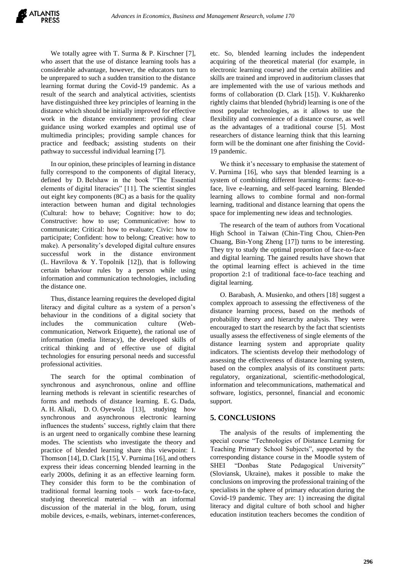We totally agree with T. Surma & P. Kirschner [7], who assert that the use of distance learning tools has a considerable advantage, however, the educators turn to be unprepared to such a sudden transition to the distance learning format during the Covid-19 pandemic. As a result of the search and analytical activities, scientists have distinguished three key principles of learning in the distance which should be initially improved for effective work in the distance environment: providing clear guidance using worked examples and optimal use of multimedia principles; providing sample chances for practice and feedback; assisting students on their pathway to successful individual learning [7].

In our opinion, these principles of learning in distance fully correspond to the components of digital literacy, defined by D. Belshaw in the book "The Essential elements of digital literacies" [11]. The scientist singles out eight key components (8C) as a basis for the quality interaction between human and digital technologies (Cultural: how to behave; Cognitive: how to do; Constructive: how to use; Communicative: how to communicate; Critical: how to evaluate; Civic: how to participate; Confident: how to belong; Creative: how to make). A personality's developed digital culture ensures successful work in the distance environment (L. Havrilova & Y. Topolnik [12]), that is following certain behaviour rules by a person while using information and communication technologies, including the distance one.

Thus, distance learning requires the developed digital literacy and digital culture as a system of a person's behaviour in the conditions of a digital society that includes the communication culture (Webcommunication, Network Etiquette), the rational use of information (media literacy), the developed skills of critical thinking and of effective use of digital technologies for ensuring personal needs and successful professional activities.

The search for the optimal combination of synchronous and asynchronous, online and offline learning methods is relevant in scientific researches of forms and methods of distance learning. E. G. Dada, A. H. Alkali, D. O. Oyewola [13], studying how synchronous and asynchronous electronic learning influences the students' success, rightly claim that there is an urgent need to organically combine these learning modes. The scientists who investigate the theory and practice of blended learning share this viewpoint: I. Thomson [14], D. Clark [15], V. Purnima [16], and others express their ideas concerning blended learning in the early 2000s, defining it as an effective learning form. They consider this form to be the combination of traditional formal learning tools – work face-to-face, studying theoretical material – with an informal discussion of the material in the blog, forum, using mobile devices, e-mails, webinars, internet-conferences, etc. So, blended learning includes the independent acquiring of the theoretical material (for example, in electronic learning course) and the certain abilities and skills are trained and improved in auditorium classes that are implemented with the use of various methods and forms of collaboration (D. Clark [15]). V. Kukharenko rightly claims that blended (hybrid) learning is one of the most popular technologies, as it allows to use the flexibility and convenience of a distance course, as well as the advantages of a traditional course [5]. Most researchers of distance learning think that this learning form will be the dominant one after finishing the Covid-19 pandemic.

We think it's necessary to emphasise the statement of V. Purnima [16], who says that blended learning is a system of combining different learning forms: face-toface, live e-learning, and self-paced learning. Blended learning allows to combine formal and non-formal learning, traditional and distance learning that opens the space for implementing new ideas and technologies.

The research of the team of authors from Vocational High School in Taiwan (Chin-Ting Chou, Chien-Pen Chuang, Bin-Yong Zheng [17]) turns to be interesting. They try to study the optimal proportion of face-to-face and digital learning. The gained results have shown that the optimal learning effect is achieved in the time proportion 2:1 of traditional face-to-face teaching and digital learning.

O. Barabash, A. Musienko, and others [18] suggest a complex approach to assessing the effectiveness of the distance learning process, based on the methods of probability theory and hierarchy analysis. They were encouraged to start the research by the fact that scientists usually assess the effectiveness of single elements of the distance learning system and appropriate quality indicators. The scientists develop their methodology of assessing the effectiveness of distance learning system, based on the complex analysis of its constituent parts: regulatory, organizational, scientific-methodological, information and telecommunications, mathematical and software, logistics, personnel, financial and economic support.

## **5. CONCLUSIONS**

The analysis of the results of implementing the special course "Technologies of Distance Learning for Teaching Primary School Subjects", supported by the corresponding distance course in the Moodle system of SHEI "Donbas State Pedagogical University" (Sloviansk, Ukraine), makes it possible to make the conclusions on improving the professional training of the specialists in the sphere of primary education during the Covid-19 pandemic. They are: 1) increasing the digital literacy and digital culture of both school and higher education institution teachers becomes the condition of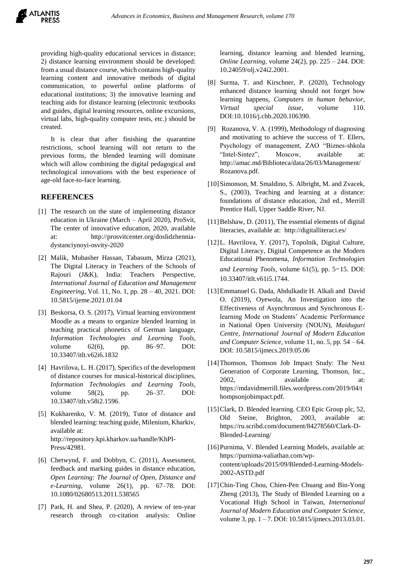providing high-quality educational services in distance; 2) distance learning environment should be developed: from a usual distance course, which contains high-quality learning content and innovative methods of digital communication, to powerful online platforms of educational institutions; 3) the innovative learning and teaching aids for distance learning (electronic textbooks and guides, digital learning resources, online excursions, virtual labs, high-quality computer tests, etc.) should be created.

It is clear that after finishing the quarantine restrictions, school learning will not return to the previous forms, the blended learning will dominate which will allow combining the digital pedagogical and technological innovations with the best experience of age-old face-to-face learning.

### **REFERENCES**

- <span id="page-5-0"></span>[1] The research on the state of implementing distance education in Ukraine (March – April 2020), ProSvit, The center of innovative education, 2020, available at: http://prosvitcenter.org/doslidzhenniadystanciynoyi-osvity-2020
- [2] Malik, Mubasher Hassan, Tabasum, Mirza (2021), The Digital Literacy in Teachers of the Schools of Rajouri (J&K), India: Teachers Perspective, *International Journal of Education and Management Engineering,* Vol. 11, No. 1, pp. 28 – 40, 2021. DOI: 10.5815/ijeme.2021.01.04
- [3] Beskorsa, O. S. (2017), Virtual learning environment Moodle as a means to organize blended learning in teaching practical phonetics of German language, *Information Technologies and Learning Tools,* volume 62(6), pp. 86–97. DOI: 10.33407/itlt.v62i6.1832
- [4] Havrilova, L. H. (2017), Specifics of the development of distance courses for musical-historical disciplines, *Information Technologies and Learning Tools,* volume 58(2), pp. 26–37. DOI: 10.33407/itlt.v58i2.1596.
- [5] Kukharenko, V. M. (2019), Tutor of distance and blended learning: teaching guide, Milenium, Kharkiv, available at: [http://repository.kpi.kharkov.ua/handle/KhPI-](http://repository.kpi.kharkov.ua/handle/KhPI-Press/42981)[Press/42981.](http://repository.kpi.kharkov.ua/handle/KhPI-Press/42981)
- [6] Chetwynd, F. and Dobbyn, C. (2011), Assessment, feedback and marking guides in distance education, *Open Learning: The Journal of Open, Distance and e-Learning,* volume 26(1), pp. 67–78. DOI: 10.1080/02680513.2011.538565
- [7] Park, H. and Shea, P. (2020), A review of ten-year research through co-citation analysis: Online

learning, distance learning and blended learning, *Online Learning,* volume 24(2), pp. 225 – 244. DOI: 10.24059/olj.v24i2.2001.

- [8] Surma, T. and Kirschner, P. (2020), Technology enhanced distance learning should not forget how learning happens, *Computers in human behavior, Virtual special issue,* volume 110. DOI:10.1016/j.chb.2020.106390.
- [9] Rozanova, V. A. (1999), Methodology of diagnosing and motivating to achieve the success of T. Ellers, Psychology of management, ZAO "Biznes-shkola "Intel-Sintez", Moscow, available at: http://amac.md/Biblioteca/data/26/03/Management/ Rozanova.pdf.
- [10] Simonson, M. Smaldino, S. Albright, M. and Zvacek, S., (2003), Teaching and learning at a distance: foundations of distance education, 2nd ed., Merrill Prentice Hall, Upper Saddle River, NJ.
- [11] Belshaw, D. (2011), The essential elements of digital literacies, available at: http://digitalliteraci.es/
- [12]L. Havrilova, Y. (2017), Topolnik, Digital Culture, Digital Literacy, Digital Competence as the Modern Educational Phenomena, *Information Technologies* and Learning Tools, volume 61(5), pp. 5-15. DOI: 10.33407/itlt.v61i5.1744.
- [13]Emmanuel G. Dada, Abdulkadir H. Alkali and David O. (2019), Oyewola, An Investigation into the Effectiveness of Asynchronous and Synchronous Elearning Mode on Students' Academic Performance in National Open University (NOUN), *Maiduguri Centre, International Journal of Modern Education and Computer Science,* volume 11, no. 5, pp. 54 – 64. DOI: 10.5815/ijmecs.2019.05.06
- [14]Thomson, Thomson Job Impact Study: The Next Generation of Corporate Learning, Thomson, Inc., 2002, available at: https://mdavidmerrill.files.wordpress.com/2019/04/t hompsonjobimpact.pdf.
- [15]Clark, D. Blended learning. CEO Epic Group plc, 52, Old Steine, Brighton, 2003, available at: https://ru.scribd.com/document/84278560/Clark-D-Blended-Learning/
- [16] Purnima, V. Blended Learning Models, available at: https://purnima-valiathan.com/wpcontent/uploads/2015/09/Blended-Learning-Models-2002-ASTD.pdf
- [17]Chin-Ting Chou, Chien-Pen Chuang and Bin-Yong Zheng (2013), The Study of Blended Learning on a Vocational High School in Taiwan, *International Journal of Modern Education and Computer Science,*  volume 3, pp. 1 – 7. DOI: 10.5815/ijmecs.2013.03.01.